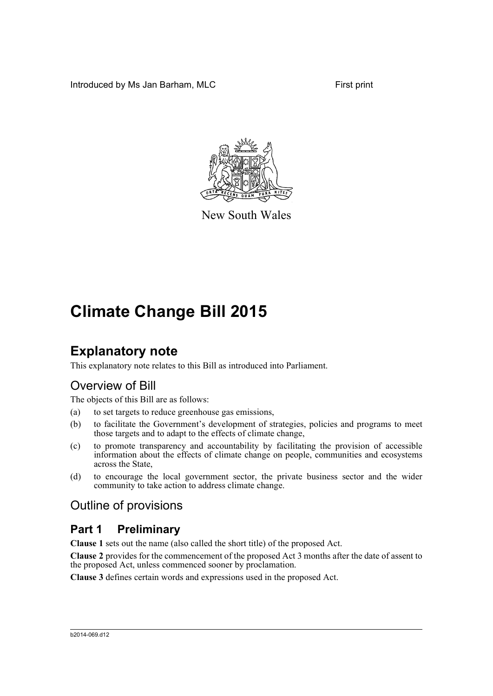Introduced by Ms Jan Barham, MLC First print



New South Wales

## **Climate Change Bill 2015**

## **Explanatory note**

This explanatory note relates to this Bill as introduced into Parliament.

## Overview of Bill

The objects of this Bill are as follows:

- (a) to set targets to reduce greenhouse gas emissions,
- (b) to facilitate the Government's development of strategies, policies and programs to meet those targets and to adapt to the effects of climate change,
- (c) to promote transparency and accountability by facilitating the provision of accessible information about the effects of climate change on people, communities and ecosystems across the State,
- (d) to encourage the local government sector, the private business sector and the wider community to take action to address climate change.

## Outline of provisions

## **Part 1 Preliminary**

**Clause 1** sets out the name (also called the short title) of the proposed Act.

**Clause 2** provides for the commencement of the proposed Act 3 months after the date of assent to the proposed Act, unless commenced sooner by proclamation.

**Clause 3** defines certain words and expressions used in the proposed Act.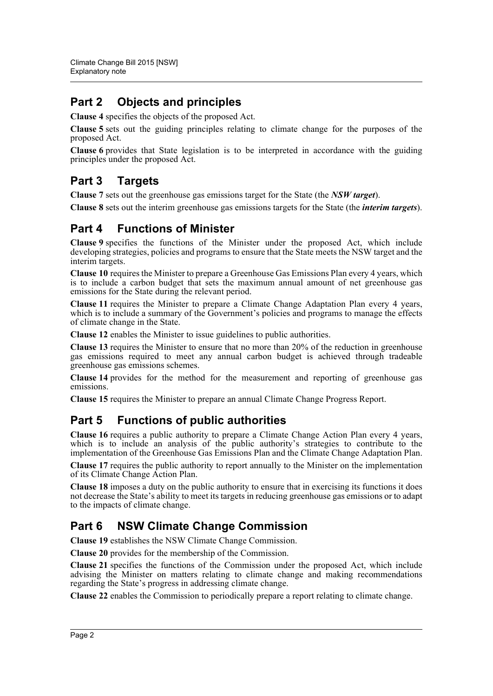## **Part 2 Objects and principles**

**Clause 4** specifies the objects of the proposed Act.

**Clause 5** sets out the guiding principles relating to climate change for the purposes of the proposed Act.

**Clause 6** provides that State legislation is to be interpreted in accordance with the guiding principles under the proposed Act.

## **Part 3 Targets**

**Clause 7** sets out the greenhouse gas emissions target for the State (the *NSW target*).

**Clause 8** sets out the interim greenhouse gas emissions targets for the State (the *interim targets*).

## **Part 4 Functions of Minister**

**Clause 9** specifies the functions of the Minister under the proposed Act, which include developing strategies, policies and programs to ensure that the State meets the NSW target and the interim targets.

**Clause 10** requires the Minister to prepare a Greenhouse Gas Emissions Plan every 4 years, which is to include a carbon budget that sets the maximum annual amount of net greenhouse gas emissions for the State during the relevant period.

**Clause 11** requires the Minister to prepare a Climate Change Adaptation Plan every 4 years, which is to include a summary of the Government's policies and programs to manage the effects of climate change in the State.

**Clause 12** enables the Minister to issue guidelines to public authorities.

**Clause 13** requires the Minister to ensure that no more than 20% of the reduction in greenhouse gas emissions required to meet any annual carbon budget is achieved through tradeable greenhouse gas emissions schemes.

**Clause 14** provides for the method for the measurement and reporting of greenhouse gas emissions.

**Clause 15** requires the Minister to prepare an annual Climate Change Progress Report.

## **Part 5 Functions of public authorities**

**Clause 16** requires a public authority to prepare a Climate Change Action Plan every 4 years, which is to include an analysis of the public authority's strategies to contribute to the implementation of the Greenhouse Gas Emissions Plan and the Climate Change Adaptation Plan.

**Clause 17** requires the public authority to report annually to the Minister on the implementation of its Climate Change Action Plan.

**Clause 18** imposes a duty on the public authority to ensure that in exercising its functions it does not decrease the State's ability to meet its targets in reducing greenhouse gas emissions or to adapt to the impacts of climate change.

## **Part 6 NSW Climate Change Commission**

**Clause 19** establishes the NSW Climate Change Commission.

**Clause 20** provides for the membership of the Commission.

**Clause 21** specifies the functions of the Commission under the proposed Act, which include advising the Minister on matters relating to climate change and making recommendations regarding the State's progress in addressing climate change.

**Clause 22** enables the Commission to periodically prepare a report relating to climate change.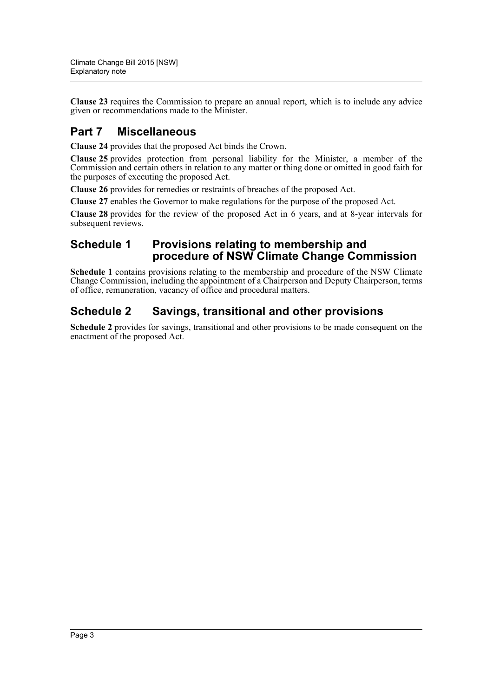**Clause 23** requires the Commission to prepare an annual report, which is to include any advice given or recommendations made to the Minister.

## **Part 7 Miscellaneous**

**Clause 24** provides that the proposed Act binds the Crown.

**Clause 25** provides protection from personal liability for the Minister, a member of the Commission and certain others in relation to any matter or thing done or omitted in good faith for the purposes of executing the proposed Act.

**Clause 26** provides for remedies or restraints of breaches of the proposed Act.

**Clause 27** enables the Governor to make regulations for the purpose of the proposed Act.

**Clause 28** provides for the review of the proposed Act in 6 years, and at 8-year intervals for subsequent reviews.

### **Schedule 1 Provisions relating to membership and procedure of NSW Climate Change Commission**

**Schedule 1** contains provisions relating to the membership and procedure of the NSW Climate Change Commission, including the appointment of a Chairperson and Deputy Chairperson, terms of office, remuneration, vacancy of office and procedural matters.

## **Schedule 2 Savings, transitional and other provisions**

**Schedule 2** provides for savings, transitional and other provisions to be made consequent on the enactment of the proposed Act.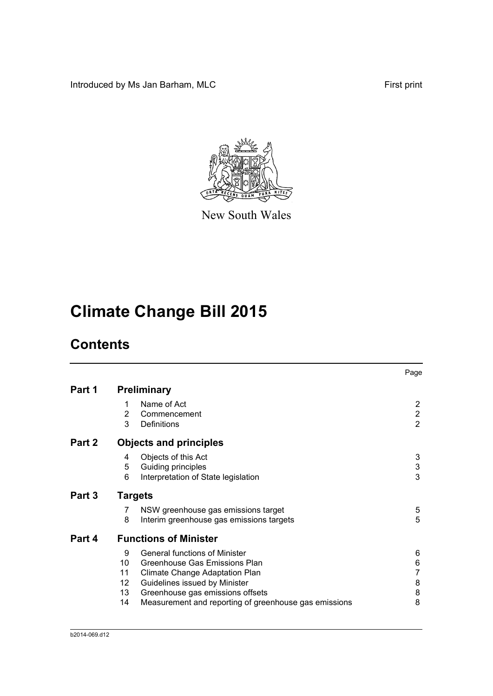Introduced by Ms Jan Barham, MLC First print



New South Wales

# **Climate Change Bill 2015**

## **Contents**

|        |                                 |                                                                                                                                                                                                                                       | Page                                    |
|--------|---------------------------------|---------------------------------------------------------------------------------------------------------------------------------------------------------------------------------------------------------------------------------------|-----------------------------------------|
| Part 1 |                                 | <b>Preliminary</b>                                                                                                                                                                                                                    |                                         |
|        | 1<br>2<br>3                     | Name of Act<br>Commencement<br><b>Definitions</b>                                                                                                                                                                                     | 2<br>$\overline{2}$<br>$\overline{2}$   |
| Part 2 |                                 | <b>Objects and principles</b>                                                                                                                                                                                                         |                                         |
|        | 4<br>5<br>6                     | Objects of this Act<br>Guiding principles<br>Interpretation of State legislation                                                                                                                                                      | 3<br>3<br>3                             |
| Part 3 |                                 | <b>Targets</b>                                                                                                                                                                                                                        |                                         |
|        | 7<br>8                          | NSW greenhouse gas emissions target<br>Interim greenhouse gas emissions targets                                                                                                                                                       | 5<br>5                                  |
| Part 4 |                                 | <b>Functions of Minister</b>                                                                                                                                                                                                          |                                         |
|        | 9<br>10<br>11<br>12<br>13<br>14 | <b>General functions of Minister</b><br>Greenhouse Gas Emissions Plan<br>Climate Change Adaptation Plan<br>Guidelines issued by Minister<br>Greenhouse gas emissions offsets<br>Measurement and reporting of greenhouse gas emissions | 6<br>6<br>$\overline{7}$<br>8<br>8<br>8 |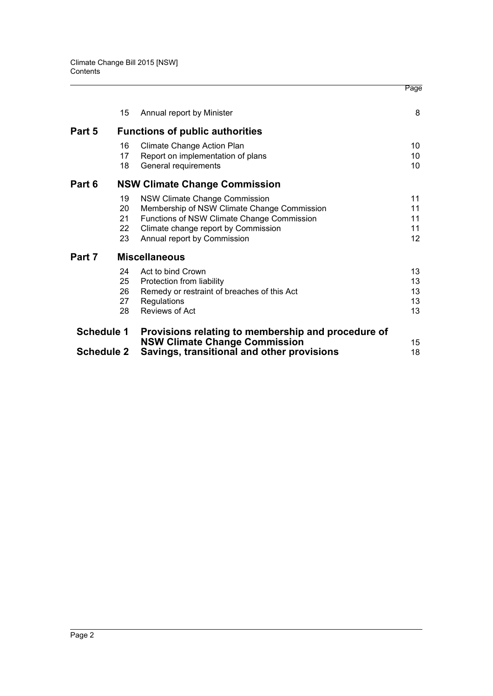|                   |    |                                                                                    | Page            |
|-------------------|----|------------------------------------------------------------------------------------|-----------------|
|                   | 15 | Annual report by Minister                                                          | 8               |
| Part 5            |    | <b>Functions of public authorities</b>                                             |                 |
|                   | 16 | Climate Change Action Plan                                                         | 10              |
|                   | 17 | Report on implementation of plans                                                  | 10              |
|                   | 18 | General requirements                                                               | 10              |
| Part 6            |    | <b>NSW Climate Change Commission</b>                                               |                 |
|                   | 19 | NSW Climate Change Commission                                                      | 11              |
|                   | 20 | Membership of NSW Climate Change Commission                                        | 11              |
|                   | 21 | Functions of NSW Climate Change Commission                                         | 11              |
|                   | 22 | Climate change report by Commission                                                | 11              |
|                   | 23 | Annual report by Commission                                                        | 12 <sup>2</sup> |
| Part 7            |    | <b>Miscellaneous</b>                                                               |                 |
|                   | 24 | Act to bind Crown                                                                  | 13              |
|                   | 25 | Protection from liability                                                          | 13              |
|                   | 26 | Remedy or restraint of breaches of this Act                                        | 13              |
|                   | 27 | Regulations                                                                        | 13              |
|                   | 28 | <b>Reviews of Act</b>                                                              | 13              |
| <b>Schedule 1</b> |    | Provisions relating to membership and procedure of                                 |                 |
| <b>Schedule 2</b> |    | <b>NSW Climate Change Commission</b><br>Savings, transitional and other provisions | 15<br>18        |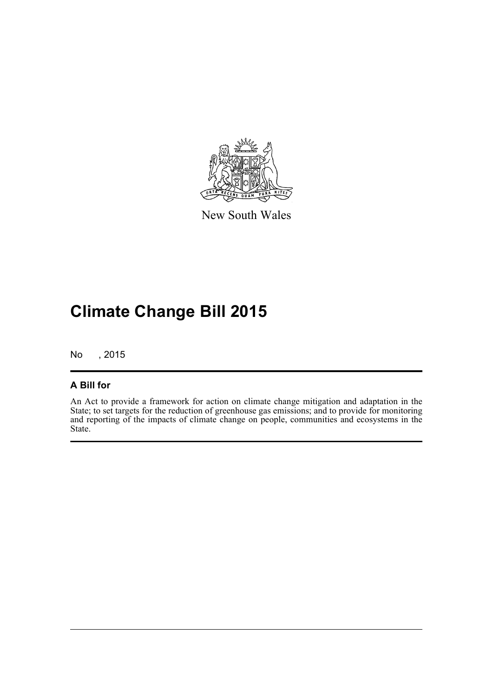

New South Wales

# **Climate Change Bill 2015**

No , 2015

### **A Bill for**

An Act to provide a framework for action on climate change mitigation and adaptation in the State; to set targets for the reduction of greenhouse gas emissions; and to provide for monitoring and reporting of the impacts of climate change on people, communities and ecosystems in the State.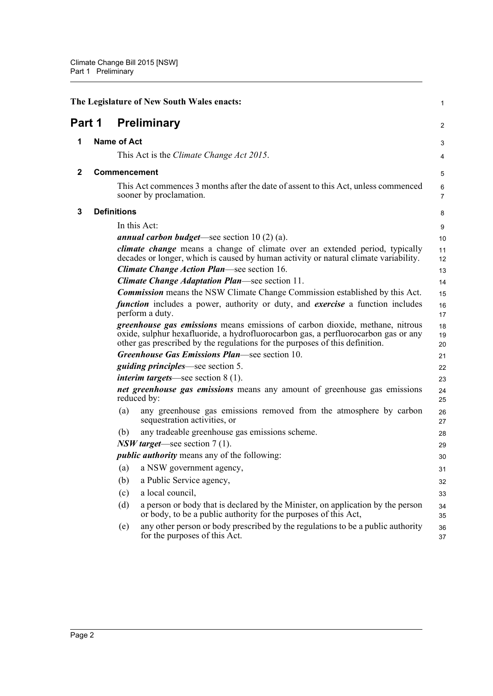<span id="page-6-3"></span><span id="page-6-2"></span><span id="page-6-1"></span><span id="page-6-0"></span>

|              |                    | The Legislature of New South Wales enacts:                                                                                                                                                                                                                | $\mathbf{1}$        |
|--------------|--------------------|-----------------------------------------------------------------------------------------------------------------------------------------------------------------------------------------------------------------------------------------------------------|---------------------|
| Part 1       |                    | <b>Preliminary</b>                                                                                                                                                                                                                                        | 2                   |
| 1            | <b>Name of Act</b> |                                                                                                                                                                                                                                                           | 3                   |
|              |                    | This Act is the Climate Change Act 2015.                                                                                                                                                                                                                  | 4                   |
| $\mathbf{2}$ |                    | <b>Commencement</b>                                                                                                                                                                                                                                       | 5                   |
|              |                    | This Act commences 3 months after the date of assent to this Act, unless commenced<br>sooner by proclamation.                                                                                                                                             | 6<br>$\overline{7}$ |
| 3            | <b>Definitions</b> |                                                                                                                                                                                                                                                           | 8                   |
|              |                    | In this Act:                                                                                                                                                                                                                                              | 9                   |
|              |                    | <i>annual carbon budget</i> —see section $10(2)(a)$ .                                                                                                                                                                                                     | 10                  |
|              |                    | <i>climate change</i> means a change of climate over an extended period, typically<br>decades or longer, which is caused by human activity or natural climate variability.                                                                                | 11<br>12            |
|              |                    | <b>Climate Change Action Plan—see section 16.</b>                                                                                                                                                                                                         | 13                  |
|              |                    | Climate Change Adaptation Plan-see section 11.                                                                                                                                                                                                            | 14                  |
|              |                    | <b>Commission</b> means the NSW Climate Change Commission established by this Act.                                                                                                                                                                        | 15                  |
|              |                    | <i>function</i> includes a power, authority or duty, and <i>exercise</i> a function includes<br>perform a duty.                                                                                                                                           | 16<br>17            |
|              |                    | <i>greenhouse gas emissions</i> means emissions of carbon dioxide, methane, nitrous<br>oxide, sulphur hexafluoride, a hydrofluorocarbon gas, a perfluorocarbon gas or any<br>other gas prescribed by the regulations for the purposes of this definition. | 18<br>19<br>20      |
|              |                    | Greenhouse Gas Emissions Plan—see section 10.                                                                                                                                                                                                             | 21                  |
|              |                    | <i>guiding principles</i> —see section 5.                                                                                                                                                                                                                 | 22                  |
|              |                    | <i>interim targets</i> —see section $8(1)$ .                                                                                                                                                                                                              | 23                  |
|              |                    | net greenhouse gas emissions means any amount of greenhouse gas emissions<br>reduced by:                                                                                                                                                                  | 24<br>25            |
|              | (a)                | any greenhouse gas emissions removed from the atmosphere by carbon<br>sequestration activities, or                                                                                                                                                        | 26<br>27            |
|              | (b)                | any tradeable greenhouse gas emissions scheme.                                                                                                                                                                                                            | 28                  |
|              |                    | $NSW$ target—see section 7 (1).                                                                                                                                                                                                                           | 29                  |
|              |                    | <i>public authority</i> means any of the following:                                                                                                                                                                                                       | 30                  |
|              |                    | (a) a NSW government agency,                                                                                                                                                                                                                              | 31                  |
|              | (b)                | a Public Service agency,                                                                                                                                                                                                                                  | 32                  |
|              | (c)                | a local council,                                                                                                                                                                                                                                          | 33                  |
|              | (d)                | a person or body that is declared by the Minister, on application by the person<br>or body, to be a public authority for the purposes of this Act,                                                                                                        | 34<br>35            |
|              | (e)                | any other person or body prescribed by the regulations to be a public authority<br>for the purposes of this Act.                                                                                                                                          | 36<br>37            |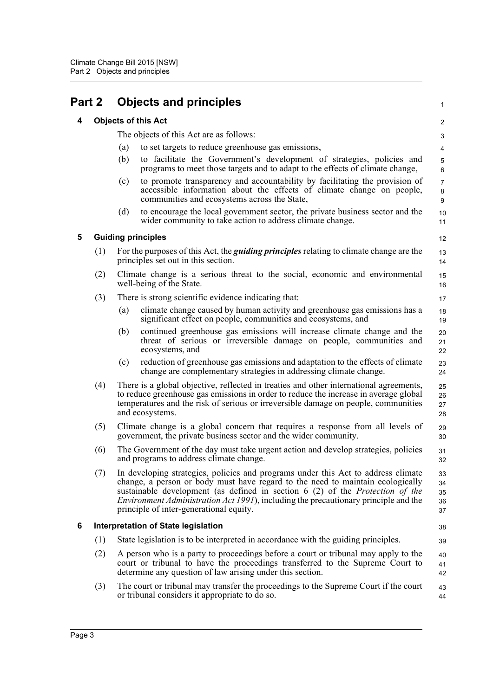<span id="page-7-3"></span><span id="page-7-2"></span><span id="page-7-1"></span><span id="page-7-0"></span>

| Part 2 |     |     | <b>Objects and principles</b>                                                                                                                                                                                                                                                                                                                                                                  | 1                                       |
|--------|-----|-----|------------------------------------------------------------------------------------------------------------------------------------------------------------------------------------------------------------------------------------------------------------------------------------------------------------------------------------------------------------------------------------------------|-----------------------------------------|
| 4      |     |     | <b>Objects of this Act</b>                                                                                                                                                                                                                                                                                                                                                                     | 2                                       |
|        |     |     | The objects of this Act are as follows:                                                                                                                                                                                                                                                                                                                                                        | 3                                       |
|        |     | (a) | to set targets to reduce greenhouse gas emissions,                                                                                                                                                                                                                                                                                                                                             | 4                                       |
|        |     | (b) | to facilitate the Government's development of strategies, policies and<br>programs to meet those targets and to adapt to the effects of climate change,                                                                                                                                                                                                                                        | 5<br>$\,6$                              |
|        |     | (c) | to promote transparency and accountability by facilitating the provision of<br>accessible information about the effects of climate change on people,<br>communities and ecosystems across the State,                                                                                                                                                                                           | $\overline{7}$<br>8<br>$\boldsymbol{9}$ |
|        |     | (d) | to encourage the local government sector, the private business sector and the<br>wider community to take action to address climate change.                                                                                                                                                                                                                                                     | 10<br>11                                |
| 5      |     |     | <b>Guiding principles</b>                                                                                                                                                                                                                                                                                                                                                                      | 12                                      |
|        | (1) |     | For the purposes of this Act, the <i>guiding principles</i> relating to climate change are the<br>principles set out in this section.                                                                                                                                                                                                                                                          | 13<br>14                                |
|        | (2) |     | Climate change is a serious threat to the social, economic and environmental<br>well-being of the State.                                                                                                                                                                                                                                                                                       | 15<br>16                                |
|        | (3) |     | There is strong scientific evidence indicating that:                                                                                                                                                                                                                                                                                                                                           | 17                                      |
|        |     | (a) | climate change caused by human activity and greenhouse gas emissions has a<br>significant effect on people, communities and ecosystems, and                                                                                                                                                                                                                                                    | 18<br>19                                |
|        |     | (b) | continued greenhouse gas emissions will increase climate change and the<br>threat of serious or irreversible damage on people, communities and<br>ecosystems, and                                                                                                                                                                                                                              | 20<br>21<br>22                          |
|        |     | (c) | reduction of greenhouse gas emissions and adaptation to the effects of climate<br>change are complementary strategies in addressing climate change.                                                                                                                                                                                                                                            | 23<br>24                                |
|        | (4) |     | There is a global objective, reflected in treaties and other international agreements,<br>to reduce greenhouse gas emissions in order to reduce the increase in average global<br>temperatures and the risk of serious or irreversible damage on people, communities<br>and ecosystems.                                                                                                        | 25<br>26<br>27<br>28                    |
|        | (5) |     | Climate change is a global concern that requires a response from all levels of<br>government, the private business sector and the wider community.                                                                                                                                                                                                                                             | 29<br>30                                |
|        | (6) |     | The Government of the day must take urgent action and develop strategies, policies<br>and programs to address climate change.                                                                                                                                                                                                                                                                  | 31<br>32                                |
|        | (7) |     | In developing strategies, policies and programs under this Act to address climate<br>change, a person or body must have regard to the need to maintain ecologically<br>sustainable development (as defined in section 6 (2) of the Protection of the<br><i>Environment Administration Act 1991</i> ), including the precautionary principle and the<br>principle of inter-generational equity. | 33<br>34<br>35<br>36<br>37              |
| 6      |     |     | <b>Interpretation of State legislation</b>                                                                                                                                                                                                                                                                                                                                                     | 38                                      |
|        | (1) |     | State legislation is to be interpreted in accordance with the guiding principles.                                                                                                                                                                                                                                                                                                              | 39                                      |
|        | (2) |     | A person who is a party to proceedings before a court or tribunal may apply to the<br>court or tribunal to have the proceedings transferred to the Supreme Court to<br>determine any question of law arising under this section.                                                                                                                                                               | 40<br>41<br>42                          |
|        | (3) |     | The court or tribunal may transfer the proceedings to the Supreme Court if the court<br>or tribunal considers it appropriate to do so.                                                                                                                                                                                                                                                         | 43<br>44                                |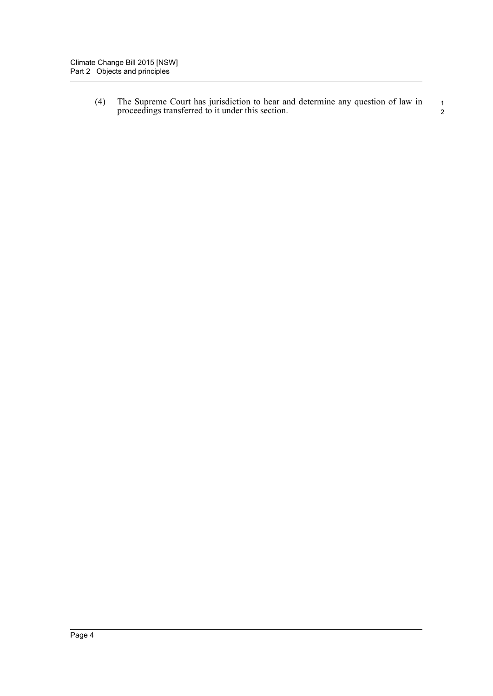(4) The Supreme Court has jurisdiction to hear and determine any question of law in proceedings transferred to it under this section. 1 2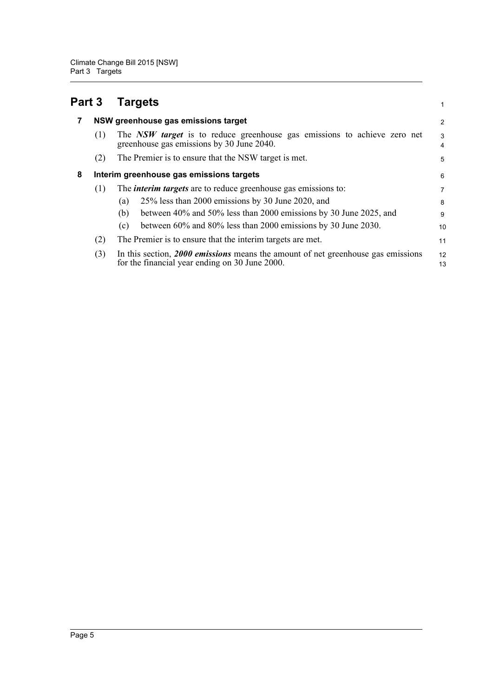<span id="page-9-2"></span><span id="page-9-1"></span><span id="page-9-0"></span>

| Part 3 |     | <b>Targets</b>                                                                                                                     | 1        |
|--------|-----|------------------------------------------------------------------------------------------------------------------------------------|----------|
| 7      |     | NSW greenhouse gas emissions target                                                                                                | 2        |
|        | (1) | The NSW target is to reduce greenhouse gas emissions to achieve zero net<br>greenhouse gas emissions by 30 June 2040.              | 3<br>4   |
|        | (2) | The Premier is to ensure that the NSW target is met.                                                                               | 5        |
| 8      |     | Interim greenhouse gas emissions targets                                                                                           | 6        |
|        | (1) | The <i>interim targets</i> are to reduce greenhouse gas emissions to:                                                              | 7        |
|        |     | 25% less than 2000 emissions by 30 June 2020, and<br>(a)                                                                           | 8        |
|        |     | between 40% and 50% less than 2000 emissions by 30 June 2025, and<br>(b)                                                           | 9        |
|        |     | between 60% and 80% less than 2000 emissions by 30 June 2030.<br>(c)                                                               | 10       |
|        | (2) | The Premier is to ensure that the interim targets are met.                                                                         | 11       |
|        | (3) | In this section, 2000 emissions means the amount of net greenhouse gas emissions<br>for the financial year ending on 30 June 2000. | 12<br>13 |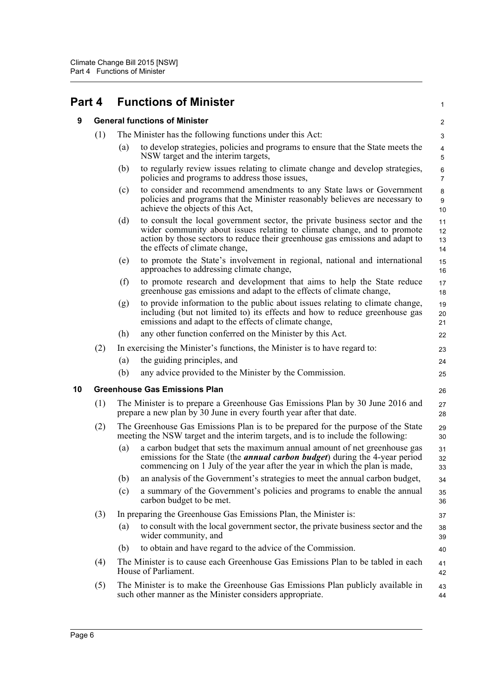<span id="page-10-2"></span><span id="page-10-1"></span><span id="page-10-0"></span>

| Part 4 |     |                                                                                                                                                       | <b>Functions of Minister</b>                                                                                                                                                                                                                                              | 1                            |  |  |  |
|--------|-----|-------------------------------------------------------------------------------------------------------------------------------------------------------|---------------------------------------------------------------------------------------------------------------------------------------------------------------------------------------------------------------------------------------------------------------------------|------------------------------|--|--|--|
| 9      |     |                                                                                                                                                       | <b>General functions of Minister</b>                                                                                                                                                                                                                                      |                              |  |  |  |
|        | (1) | The Minister has the following functions under this Act:                                                                                              |                                                                                                                                                                                                                                                                           |                              |  |  |  |
|        |     | (a)                                                                                                                                                   | to develop strategies, policies and programs to ensure that the State meets the<br>NSW target and the interim targets,                                                                                                                                                    | $\overline{\mathbf{4}}$<br>5 |  |  |  |
|        |     | (b)                                                                                                                                                   | to regularly review issues relating to climate change and develop strategies,<br>policies and programs to address those issues,                                                                                                                                           | 6<br>$\overline{7}$          |  |  |  |
|        |     | (c)                                                                                                                                                   | to consider and recommend amendments to any State laws or Government<br>policies and programs that the Minister reasonably believes are necessary to<br>achieve the objects of this Act,                                                                                  | 8<br>9<br>10                 |  |  |  |
|        |     | (d)                                                                                                                                                   | to consult the local government sector, the private business sector and the<br>wider community about issues relating to climate change, and to promote<br>action by those sectors to reduce their greenhouse gas emissions and adapt to<br>the effects of climate change, | 11<br>12<br>13<br>14         |  |  |  |
|        |     | (e)                                                                                                                                                   | to promote the State's involvement in regional, national and international<br>approaches to addressing climate change,                                                                                                                                                    | 15<br>16                     |  |  |  |
|        |     | (f)                                                                                                                                                   | to promote research and development that aims to help the State reduce<br>greenhouse gas emissions and adapt to the effects of climate change,                                                                                                                            | 17<br>18                     |  |  |  |
|        |     | (g)                                                                                                                                                   | to provide information to the public about issues relating to climate change,<br>including (but not limited to) its effects and how to reduce greenhouse gas<br>emissions and adapt to the effects of climate change,                                                     | 19<br>20<br>21               |  |  |  |
|        |     | (h)                                                                                                                                                   | any other function conferred on the Minister by this Act.                                                                                                                                                                                                                 | 22                           |  |  |  |
|        | (2) |                                                                                                                                                       | In exercising the Minister's functions, the Minister is to have regard to:                                                                                                                                                                                                | 23                           |  |  |  |
|        |     | (a)                                                                                                                                                   | the guiding principles, and                                                                                                                                                                                                                                               | 24                           |  |  |  |
|        |     | (b)                                                                                                                                                   | any advice provided to the Minister by the Commission.                                                                                                                                                                                                                    | 25                           |  |  |  |
| 10     |     |                                                                                                                                                       | <b>Greenhouse Gas Emissions Plan</b>                                                                                                                                                                                                                                      | 26                           |  |  |  |
|        | (1) | The Minister is to prepare a Greenhouse Gas Emissions Plan by 30 June 2016 and<br>prepare a new plan by 30 June in every fourth year after that date. |                                                                                                                                                                                                                                                                           |                              |  |  |  |
|        | (2) |                                                                                                                                                       | The Greenhouse Gas Emissions Plan is to be prepared for the purpose of the State<br>meeting the NSW target and the interim targets, and is to include the following:                                                                                                      | 29<br>30                     |  |  |  |
|        |     | (a)                                                                                                                                                   | a carbon budget that sets the maximum annual amount of net greenhouse gas<br>emissions for the State (the <i>annual carbon budget</i> ) during the 4-year period<br>commencing on 1 July of the year after the year in which the plan is made,                            | 31<br>32<br>33               |  |  |  |
|        |     | (b)                                                                                                                                                   | an analysis of the Government's strategies to meet the annual carbon budget,                                                                                                                                                                                              | 34                           |  |  |  |
|        |     | (c)                                                                                                                                                   | a summary of the Government's policies and programs to enable the annual<br>carbon budget to be met.                                                                                                                                                                      | 35<br>36                     |  |  |  |
|        | (3) |                                                                                                                                                       | In preparing the Greenhouse Gas Emissions Plan, the Minister is:                                                                                                                                                                                                          | 37                           |  |  |  |
|        |     | (a)                                                                                                                                                   | to consult with the local government sector, the private business sector and the<br>wider community, and                                                                                                                                                                  | 38<br>39                     |  |  |  |
|        |     | (b)                                                                                                                                                   | to obtain and have regard to the advice of the Commission.                                                                                                                                                                                                                | 40                           |  |  |  |
|        | (4) |                                                                                                                                                       | The Minister is to cause each Greenhouse Gas Emissions Plan to be tabled in each<br>House of Parliament.                                                                                                                                                                  | 41<br>42                     |  |  |  |
|        | (5) |                                                                                                                                                       | The Minister is to make the Greenhouse Gas Emissions Plan publicly available in<br>such other manner as the Minister considers appropriate.                                                                                                                               | 43<br>44                     |  |  |  |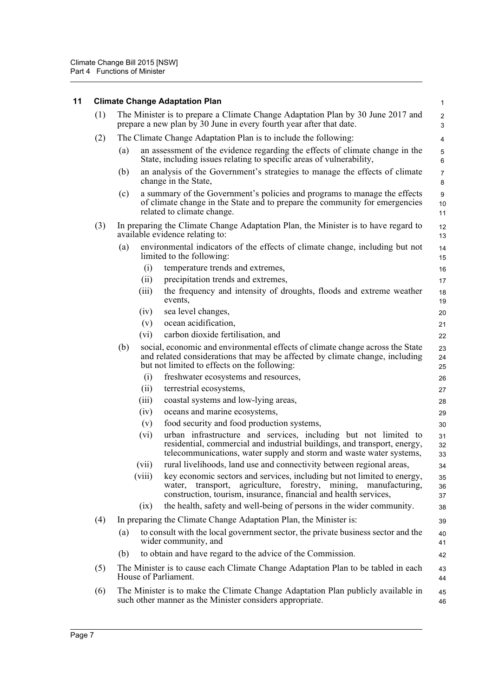<span id="page-11-0"></span>

| 11 |     | <b>Climate Change Adaptation Plan</b>                                                                                                                                                                                       | $\mathbf{1}$                           |
|----|-----|-----------------------------------------------------------------------------------------------------------------------------------------------------------------------------------------------------------------------------|----------------------------------------|
|    | (1) | The Minister is to prepare a Climate Change Adaptation Plan by 30 June 2017 and<br>prepare a new plan by 30 June in every fourth year after that date.                                                                      | $\overline{\mathbf{c}}$<br>$\mathsf 3$ |
|    | (2) | The Climate Change Adaptation Plan is to include the following:                                                                                                                                                             | 4                                      |
|    |     | an assessment of the evidence regarding the effects of climate change in the<br>(a)<br>State, including issues relating to specific areas of vulnerability,                                                                 | $\mathbf 5$<br>6                       |
|    |     | an analysis of the Government's strategies to manage the effects of climate<br>(b)<br>change in the State,                                                                                                                  | $\overline{7}$<br>8                    |
|    |     | a summary of the Government's policies and programs to manage the effects<br>(c)<br>of climate change in the State and to prepare the community for emergencies<br>related to climate change.                               | 9<br>10<br>11                          |
|    | (3) | In preparing the Climate Change Adaptation Plan, the Minister is to have regard to<br>available evidence relating to:                                                                                                       | 12<br>13                               |
|    |     | environmental indicators of the effects of climate change, including but not<br>(a)<br>limited to the following:                                                                                                            | 14<br>15                               |
|    |     | temperature trends and extremes,<br>(i)                                                                                                                                                                                     | 16                                     |
|    |     | precipitation trends and extremes,<br>(ii)                                                                                                                                                                                  | 17                                     |
|    |     | the frequency and intensity of droughts, floods and extreme weather<br>(iii)<br>events,                                                                                                                                     | 18<br>19                               |
|    |     | sea level changes,<br>(iv)                                                                                                                                                                                                  | 20                                     |
|    |     | ocean acidification,<br>(v)                                                                                                                                                                                                 | 21                                     |
|    |     | carbon dioxide fertilisation, and<br>(vi)                                                                                                                                                                                   | 22                                     |
|    |     | (b)<br>social, economic and environmental effects of climate change across the State<br>and related considerations that may be affected by climate change, including<br>but not limited to effects on the following:        | 23<br>24<br>25                         |
|    |     | (i)<br>freshwater ecosystems and resources,                                                                                                                                                                                 | 26                                     |
|    |     | terrestrial ecosystems,<br>(ii)                                                                                                                                                                                             | 27                                     |
|    |     | coastal systems and low-lying areas,<br>(iii)                                                                                                                                                                               | 28                                     |
|    |     | (iv)<br>oceans and marine ecosystems,                                                                                                                                                                                       | 29                                     |
|    |     | food security and food production systems,<br>(v)                                                                                                                                                                           | 30                                     |
|    |     | urban infrastructure and services, including but not limited to<br>(vi)<br>residential, commercial and industrial buildings, and transport, energy,<br>telecommunications, water supply and storm and waste water systems,  | 31<br>32<br>33                         |
|    |     | rural livelihoods, land use and connectivity between regional areas,<br>(vii)                                                                                                                                               | 34                                     |
|    |     | key economic sectors and services, including but not limited to energy,<br>(viii)<br>water, transport, agriculture, forestry, mining,<br>manufacturing,<br>construction, tourism, insurance, financial and health services, | 35<br>36<br>37                         |
|    |     | the health, safety and well-being of persons in the wider community.<br>(ix)                                                                                                                                                | 38                                     |
|    | (4) | In preparing the Climate Change Adaptation Plan, the Minister is:                                                                                                                                                           | 39                                     |
|    |     | to consult with the local government sector, the private business sector and the<br>(a)<br>wider community, and                                                                                                             | 40<br>41                               |
|    |     | to obtain and have regard to the advice of the Commission.<br>(b)                                                                                                                                                           | 42                                     |
|    | (5) | The Minister is to cause each Climate Change Adaptation Plan to be tabled in each<br>House of Parliament.                                                                                                                   | 43<br>44                               |
|    | (6) | The Minister is to make the Climate Change Adaptation Plan publicly available in<br>such other manner as the Minister considers appropriate.                                                                                | 45<br>46                               |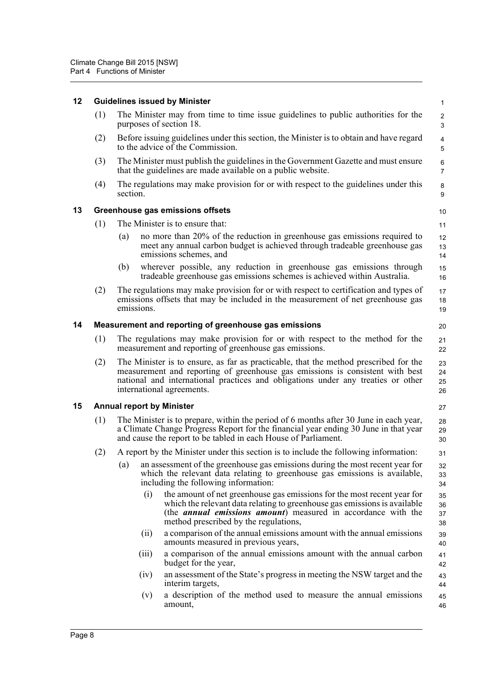<span id="page-12-3"></span><span id="page-12-2"></span><span id="page-12-1"></span><span id="page-12-0"></span>

| 12 |     |                                                             |       | <b>Guidelines issued by Minister</b>                                                                                                                                                                                                                                                   | $\mathbf{1}$                 |  |  |  |
|----|-----|-------------------------------------------------------------|-------|----------------------------------------------------------------------------------------------------------------------------------------------------------------------------------------------------------------------------------------------------------------------------------------|------------------------------|--|--|--|
|    | (1) |                                                             |       | The Minister may from time to time issue guidelines to public authorities for the<br>purposes of section 18.                                                                                                                                                                           | $\sqrt{2}$<br>3              |  |  |  |
|    | (2) |                                                             |       | Before issuing guidelines under this section, the Minister is to obtain and have regard<br>to the advice of the Commission.                                                                                                                                                            | $\overline{\mathbf{4}}$<br>5 |  |  |  |
|    | (3) |                                                             |       | The Minister must publish the guidelines in the Government Gazette and must ensure<br>that the guidelines are made available on a public website.                                                                                                                                      | 6<br>$\overline{7}$          |  |  |  |
|    | (4) | section.                                                    |       | The regulations may make provision for or with respect to the guidelines under this                                                                                                                                                                                                    | $\bf 8$<br>9                 |  |  |  |
| 13 |     |                                                             |       | Greenhouse gas emissions offsets                                                                                                                                                                                                                                                       | 10                           |  |  |  |
|    | (1) |                                                             |       | The Minister is to ensure that:                                                                                                                                                                                                                                                        | 11                           |  |  |  |
|    |     | (a)                                                         |       | no more than 20% of the reduction in greenhouse gas emissions required to<br>meet any annual carbon budget is achieved through tradeable greenhouse gas<br>emissions schemes, and                                                                                                      | 12<br>13<br>14               |  |  |  |
|    |     | (b)                                                         |       | wherever possible, any reduction in greenhouse gas emissions through<br>tradeable greenhouse gas emissions schemes is achieved within Australia.                                                                                                                                       | 15<br>16                     |  |  |  |
|    | (2) | emissions.                                                  |       | The regulations may make provision for or with respect to certification and types of<br>emissions offsets that may be included in the measurement of net greenhouse gas                                                                                                                | 17<br>18<br>19               |  |  |  |
| 14 |     | Measurement and reporting of greenhouse gas emissions<br>20 |       |                                                                                                                                                                                                                                                                                        |                              |  |  |  |
|    | (1) |                                                             |       | The regulations may make provision for or with respect to the method for the<br>measurement and reporting of greenhouse gas emissions.                                                                                                                                                 | 21<br>22                     |  |  |  |
|    | (2) |                                                             |       | The Minister is to ensure, as far as practicable, that the method prescribed for the<br>measurement and reporting of greenhouse gas emissions is consistent with best<br>national and international practices and obligations under any treaties or other<br>international agreements. | 23<br>24<br>25<br>26         |  |  |  |
| 15 |     |                                                             |       | <b>Annual report by Minister</b>                                                                                                                                                                                                                                                       | 27                           |  |  |  |
|    | (1) |                                                             |       | The Minister is to prepare, within the period of 6 months after 30 June in each year,<br>a Climate Change Progress Report for the financial year ending 30 June in that year<br>and cause the report to be tabled in each House of Parliament.                                         | 28<br>29<br>30               |  |  |  |
|    | (2) |                                                             |       | A report by the Minister under this section is to include the following information:                                                                                                                                                                                                   | 31                           |  |  |  |
|    |     | (a)                                                         |       | an assessment of the greenhouse gas emissions during the most recent year for<br>which the relevant data relating to greenhouse gas emissions is available,<br>including the following information:                                                                                    | 32<br>33<br>34               |  |  |  |
|    |     |                                                             | (i)   | the amount of net greenhouse gas emissions for the most recent year for<br>which the relevant data relating to greenhouse gas emissions is available<br>(the <i>annual emissions amount</i> ) measured in accordance with the<br>method prescribed by the regulations,                 | 35<br>36<br>37<br>38         |  |  |  |
|    |     |                                                             | (ii)  | a comparison of the annual emissions amount with the annual emissions<br>amounts measured in previous years,                                                                                                                                                                           | 39<br>40                     |  |  |  |
|    |     |                                                             | (iii) | a comparison of the annual emissions amount with the annual carbon<br>budget for the year,                                                                                                                                                                                             | 41<br>42                     |  |  |  |
|    |     |                                                             | (iv)  | an assessment of the State's progress in meeting the NSW target and the<br>interim targets,                                                                                                                                                                                            | 43<br>44                     |  |  |  |
|    |     |                                                             | (v)   | a description of the method used to measure the annual emissions<br>amount,                                                                                                                                                                                                            | 45<br>46                     |  |  |  |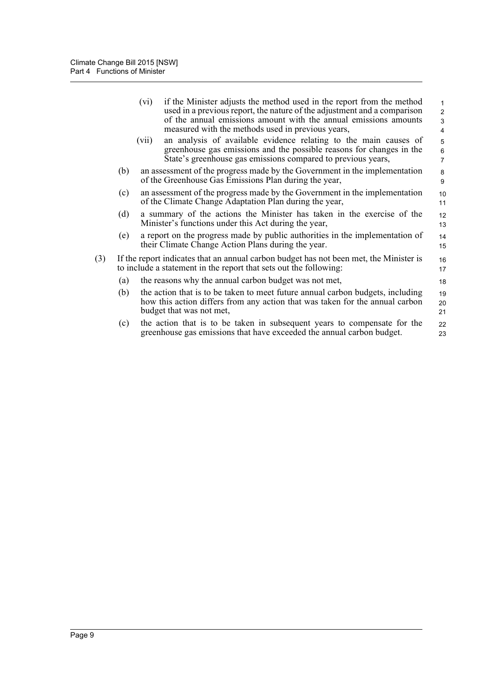|     |     | (vi)  | if the Minister adjusts the method used in the report from the method<br>used in a previous report, the nature of the adjustment and a comparison<br>of the annual emissions amount with the annual emissions amounts<br>measured with the methods used in previous years, | $\mathbf{1}$<br>$\overline{2}$<br>3<br>$\overline{4}$ |
|-----|-----|-------|----------------------------------------------------------------------------------------------------------------------------------------------------------------------------------------------------------------------------------------------------------------------------|-------------------------------------------------------|
|     |     | (vii) | an analysis of available evidence relating to the main causes of<br>greenhouse gas emissions and the possible reasons for changes in the<br>State's greenhouse gas emissions compared to previous years,                                                                   | 5<br>6<br>$\overline{7}$                              |
|     | (b) |       | an assessment of the progress made by the Government in the implementation<br>of the Greenhouse Gas Emissions Plan during the year,                                                                                                                                        | 8<br>9                                                |
|     | (c) |       | an assessment of the progress made by the Government in the implementation<br>of the Climate Change Adaptation Plan during the year,                                                                                                                                       | 10<br>11                                              |
|     | (d) |       | a summary of the actions the Minister has taken in the exercise of the<br>Minister's functions under this Act during the year,                                                                                                                                             | 12<br>13                                              |
|     | (e) |       | a report on the progress made by public authorities in the implementation of<br>their Climate Change Action Plans during the year.                                                                                                                                         | 14<br>15                                              |
| (3) |     |       | If the report indicates that an annual carbon budget has not been met, the Minister is<br>to include a statement in the report that sets out the following:                                                                                                                | 16<br>17                                              |
|     | (a) |       | the reasons why the annual carbon budget was not met,                                                                                                                                                                                                                      | 18                                                    |
|     | (b) |       | the action that is to be taken to meet future annual carbon budgets, including<br>how this action differs from any action that was taken for the annual carbon<br>budget that was not met,                                                                                 | 19<br>20<br>21                                        |
|     | (c) |       | the action that is to be taken in subsequent years to compensate for the<br>greenhouse gas emissions that have exceeded the annual carbon budget.                                                                                                                          | 22<br>23                                              |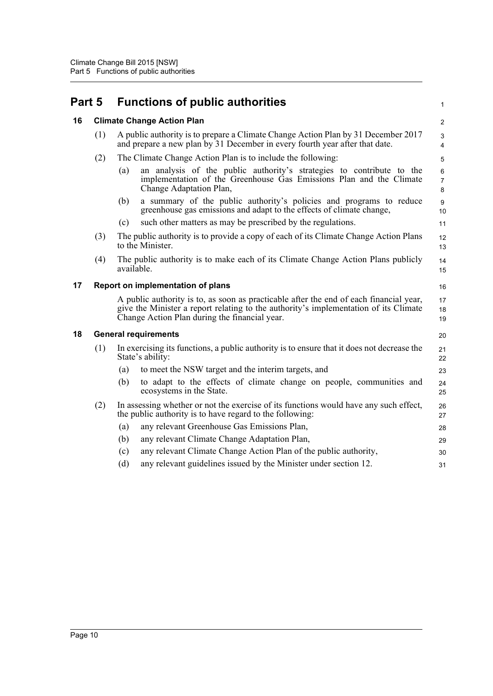<span id="page-14-3"></span><span id="page-14-2"></span><span id="page-14-1"></span><span id="page-14-0"></span>

| Part 5 |                                   |            | <b>Functions of public authorities</b>                                                                                                                                                                                          | $\mathbf{1}$                   |
|--------|-----------------------------------|------------|---------------------------------------------------------------------------------------------------------------------------------------------------------------------------------------------------------------------------------|--------------------------------|
| 16     |                                   |            | <b>Climate Change Action Plan</b>                                                                                                                                                                                               | 2                              |
|        | (1)                               |            | A public authority is to prepare a Climate Change Action Plan by 31 December 2017<br>and prepare a new plan by 31 December in every fourth year after that date.                                                                | $\mathbf{3}$<br>4              |
|        | (2)                               |            | The Climate Change Action Plan is to include the following:                                                                                                                                                                     | 5                              |
|        |                                   | (a)        | an analysis of the public authority's strategies to contribute to the<br>implementation of the Greenhouse Gas Emissions Plan and the Climate<br>Change Adaptation Plan,                                                         | $\,6\,$<br>$\overline{7}$<br>8 |
|        |                                   | (b)        | a summary of the public authority's policies and programs to reduce<br>greenhouse gas emissions and adapt to the effects of climate change,                                                                                     | $\boldsymbol{9}$<br>10         |
|        |                                   | (c)        | such other matters as may be prescribed by the regulations.                                                                                                                                                                     | 11                             |
|        | (3)                               |            | The public authority is to provide a copy of each of its Climate Change Action Plans<br>to the Minister.                                                                                                                        | 12<br>13                       |
|        | (4)                               | available. | The public authority is to make each of its Climate Change Action Plans publicly                                                                                                                                                | 14<br>15                       |
| 17     | Report on implementation of plans |            |                                                                                                                                                                                                                                 | 16                             |
|        |                                   |            | A public authority is to, as soon as practicable after the end of each financial year,<br>give the Minister a report relating to the authority's implementation of its Climate<br>Change Action Plan during the financial year. | 17<br>18<br>19                 |
| 18     |                                   |            | <b>General requirements</b>                                                                                                                                                                                                     | 20                             |
|        | (1)                               |            | In exercising its functions, a public authority is to ensure that it does not decrease the<br>State's ability:                                                                                                                  | 21<br>22                       |
|        |                                   | (a)        | to meet the NSW target and the interim targets, and                                                                                                                                                                             | 23                             |
|        |                                   | (b)        | to adapt to the effects of climate change on people, communities and<br>ecosystems in the State.                                                                                                                                | 24<br>25                       |
|        | (2)                               |            | In assessing whether or not the exercise of its functions would have any such effect,<br>the public authority is to have regard to the following:                                                                               | 26<br>27                       |
|        |                                   | (a)        | any relevant Greenhouse Gas Emissions Plan,                                                                                                                                                                                     | 28                             |
|        |                                   | (b)        | any relevant Climate Change Adaptation Plan,                                                                                                                                                                                    | 29                             |
|        |                                   | (c)        | any relevant Climate Change Action Plan of the public authority,                                                                                                                                                                | 30                             |
|        |                                   | (d)        | any relevant guidelines issued by the Minister under section 12.                                                                                                                                                                | 31                             |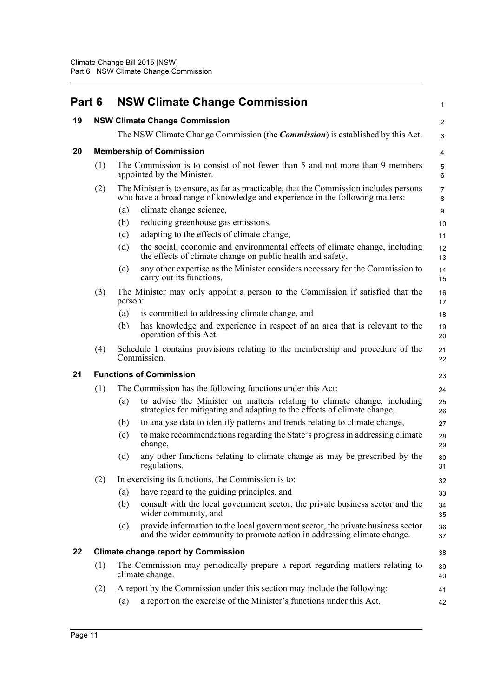<span id="page-15-4"></span><span id="page-15-3"></span><span id="page-15-2"></span><span id="page-15-1"></span><span id="page-15-0"></span>

| Part 6 |                                |         | <b>NSW Climate Change Commission</b>                                                                                                                                   | $\mathbf{1}$        |
|--------|--------------------------------|---------|------------------------------------------------------------------------------------------------------------------------------------------------------------------------|---------------------|
| 19     |                                |         | <b>NSW Climate Change Commission</b>                                                                                                                                   | 2                   |
|        |                                |         | The NSW Climate Change Commission (the <i>Commission</i> ) is established by this Act.                                                                                 | 3                   |
| 20     |                                |         | <b>Membership of Commission</b>                                                                                                                                        | 4                   |
|        | (1)                            |         | The Commission is to consist of not fewer than 5 and not more than 9 members<br>appointed by the Minister.                                                             | $\mathbf 5$<br>6    |
|        | (2)                            |         | The Minister is to ensure, as far as practicable, that the Commission includes persons<br>who have a broad range of knowledge and experience in the following matters: | $\overline{7}$<br>8 |
|        |                                | (a)     | climate change science,                                                                                                                                                | 9                   |
|        |                                | (b)     | reducing greenhouse gas emissions,                                                                                                                                     | 10                  |
|        |                                | (c)     | adapting to the effects of climate change,                                                                                                                             | 11                  |
|        |                                | (d)     | the social, economic and environmental effects of climate change, including<br>the effects of climate change on public health and safety,                              | 12<br>13            |
|        |                                | (e)     | any other expertise as the Minister considers necessary for the Commission to<br>carry out its functions.                                                              | 14<br>15            |
|        | (3)                            | person: | The Minister may only appoint a person to the Commission if satisfied that the                                                                                         | 16<br>17            |
|        |                                | (a)     | is committed to addressing climate change, and                                                                                                                         | 18                  |
|        |                                | (b)     | has knowledge and experience in respect of an area that is relevant to the<br>operation of this Act.                                                                   | 19<br>20            |
|        | (4)                            |         | Schedule 1 contains provisions relating to the membership and procedure of the<br>Commission.                                                                          | 21<br>22            |
| 21     | <b>Functions of Commission</b> |         |                                                                                                                                                                        |                     |
|        | (1)                            |         | The Commission has the following functions under this Act:                                                                                                             | 24                  |
|        |                                | (a)     | to advise the Minister on matters relating to climate change, including<br>strategies for mitigating and adapting to the effects of climate change,                    | 25<br>26            |
|        |                                | (b)     | to analyse data to identify patterns and trends relating to climate change,                                                                                            | 27                  |
|        |                                | (c)     | to make recommendations regarding the State's progress in addressing climate<br>change,                                                                                | 28<br>29            |
|        |                                | (d)     | any other functions relating to climate change as may be prescribed by the<br>regulations.                                                                             | 30<br>31            |
|        | (2)                            |         | In exercising its functions, the Commission is to:                                                                                                                     | 32                  |
|        |                                | (a)     | have regard to the guiding principles, and                                                                                                                             | 33                  |
|        |                                | (b)     | consult with the local government sector, the private business sector and the<br>wider community, and                                                                  | 34<br>35            |
|        |                                | (c)     | provide information to the local government sector, the private business sector<br>and the wider community to promote action in addressing climate change.             | 36<br>37            |
| 22     |                                |         | <b>Climate change report by Commission</b>                                                                                                                             | 38                  |
|        | (1)                            |         | The Commission may periodically prepare a report regarding matters relating to<br>climate change.                                                                      | 39<br>40            |
|        | (2)                            |         | A report by the Commission under this section may include the following:                                                                                               | 41                  |
|        |                                | (a)     | a report on the exercise of the Minister's functions under this Act,                                                                                                   | 42                  |
|        |                                |         |                                                                                                                                                                        |                     |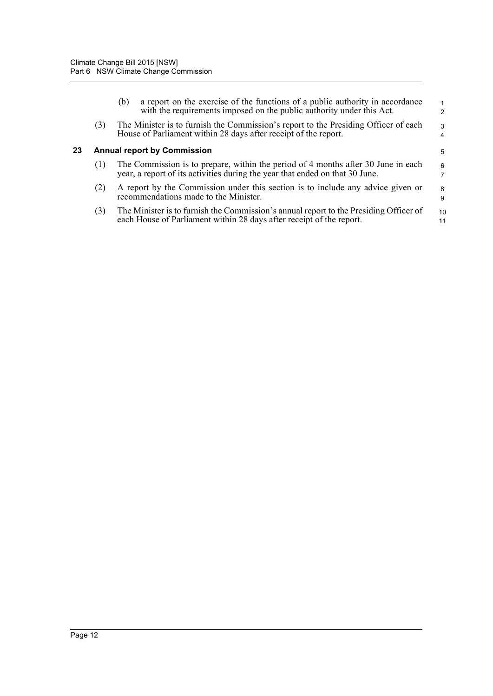<span id="page-16-0"></span>

|    |                                    | a report on the exercise of the functions of a public authority in accordance<br>(b)<br>with the requirements imposed on the public authority under this Act.     | $\mathbf{1}$<br>$\mathcal{P}$ |  |
|----|------------------------------------|-------------------------------------------------------------------------------------------------------------------------------------------------------------------|-------------------------------|--|
|    | (3)                                | The Minister is to furnish the Commission's report to the Presiding Officer of each<br>House of Parliament within 28 days after receipt of the report.            | 3<br>$\overline{4}$           |  |
| 23 | <b>Annual report by Commission</b> |                                                                                                                                                                   |                               |  |
|    | (1)                                | The Commission is to prepare, within the period of 4 months after 30 June in each<br>year, a report of its activities during the year that ended on that 30 June. | 6<br>$\overline{7}$           |  |
|    | (2)                                | A report by the Commission under this section is to include any advice given or<br>recommendations made to the Minister.                                          | 8<br>9                        |  |
|    | (3)                                | The Minister is to furnish the Commission's annual report to the Presiding Officer of<br>each House of Parliament within 28 days after receipt of the report.     | 10<br>11                      |  |
|    |                                    |                                                                                                                                                                   |                               |  |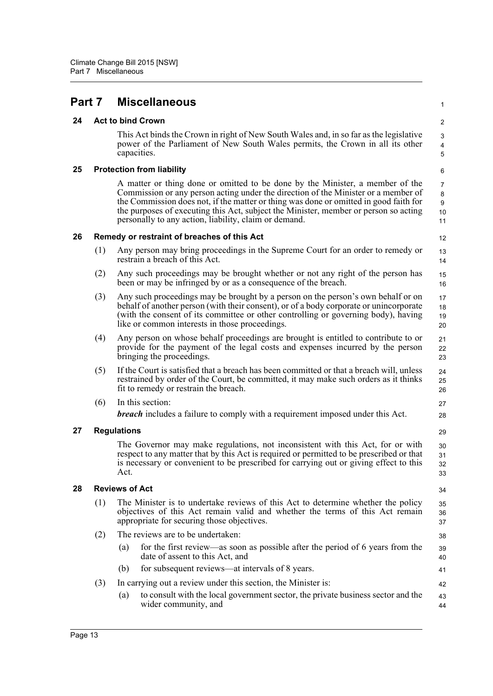## <span id="page-17-0"></span>**Part 7 Miscellaneous**

### **24 Act to bind Crown**

This Act binds the Crown in right of New South Wales and, in so far as the legislative power of the Parliament of New South Wales permits, the Crown in all its other capacities.

1

21 22 23

27 28

41 42

### <span id="page-17-1"></span>**25 Protection from liability**

A matter or thing done or omitted to be done by the Minister, a member of the Commission or any person acting under the direction of the Minister or a member of the Commission does not, if the matter or thing was done or omitted in good faith for the purposes of executing this Act, subject the Minister, member or person so acting personally to any action, liability, claim or demand.

### <span id="page-17-2"></span>**26 Remedy or restraint of breaches of this Act**

- (1) Any person may bring proceedings in the Supreme Court for an order to remedy or restrain a breach of this Act.
- (2) Any such proceedings may be brought whether or not any right of the person has been or may be infringed by or as a consequence of the breach.
- (3) Any such proceedings may be brought by a person on the person's own behalf or on behalf of another person (with their consent), or of a body corporate or unincorporate (with the consent of its committee or other controlling or governing body), having like or common interests in those proceedings. 17 18 19 20
- (4) Any person on whose behalf proceedings are brought is entitled to contribute to or provide for the payment of the legal costs and expenses incurred by the person bringing the proceedings.
- (5) If the Court is satisfied that a breach has been committed or that a breach will, unless restrained by order of the Court, be committed, it may make such orders as it thinks fit to remedy or restrain the breach. 24  $25$ 26
- (6) In this section: *breach* includes a failure to comply with a requirement imposed under this Act.

### <span id="page-17-3"></span>**27 Regulations**

The Governor may make regulations, not inconsistent with this Act, for or with respect to any matter that by this Act is required or permitted to be prescribed or that is necessary or convenient to be prescribed for carrying out or giving effect to this Act.

### <span id="page-17-4"></span>**28 Reviews of Act**

- (1) The Minister is to undertake reviews of this Act to determine whether the policy objectives of this Act remain valid and whether the terms of this Act remain appropriate for securing those objectives.
- (2) The reviews are to be undertaken:
	- (a) for the first review—as soon as possible after the period of 6 years from the date of assent to this Act, and 39 40
	- (b) for subsequent reviews—at intervals of 8 years.

### (3) In carrying out a review under this section, the Minister is:

(a) to consult with the local government sector, the private business sector and the wider community, and 43 44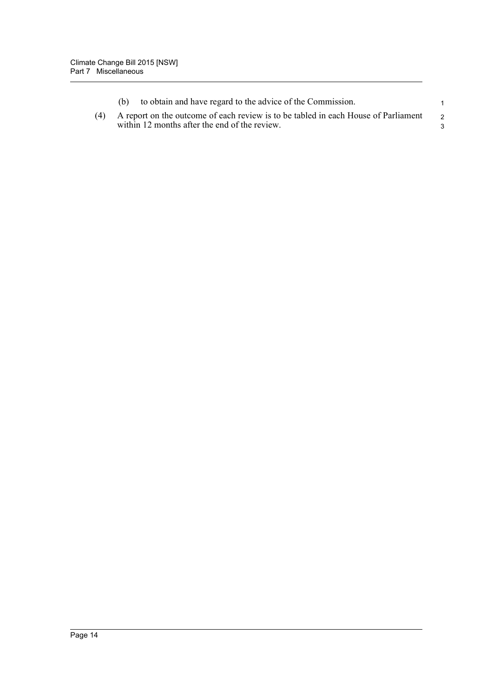|  | to obtain and have regard to the advice of the Commission.                                                                              |     |
|--|-----------------------------------------------------------------------------------------------------------------------------------------|-----|
|  | (4) A report on the outcome of each review is to be tabled in each House of Parliament<br>within 12 months after the end of the review. | - 2 |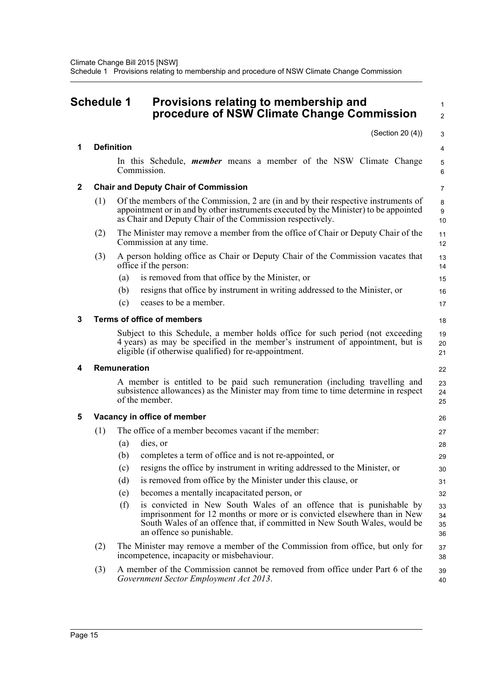#### <span id="page-19-0"></span>**Schedule 1 Provisions relating to membership and procedure of NSW Climate Change Commission** 1 2

|   |     | (Section 20 (4))                                                                                                                                                                                                                                                 | 3                    |
|---|-----|------------------------------------------------------------------------------------------------------------------------------------------------------------------------------------------------------------------------------------------------------------------|----------------------|
| 1 |     | <b>Definition</b>                                                                                                                                                                                                                                                | 4                    |
|   |     | In this Schedule, <i>member</i> means a member of the NSW Climate Change<br>Commission.                                                                                                                                                                          | 5<br>6               |
| 2 |     | <b>Chair and Deputy Chair of Commission</b>                                                                                                                                                                                                                      | $\overline{7}$       |
|   | (1) | Of the members of the Commission, 2 are (in and by their respective instruments of<br>appointment or in and by other instruments executed by the Minister) to be appointed<br>as Chair and Deputy Chair of the Commission respectively.                          | 8<br>9<br>10         |
|   | (2) | The Minister may remove a member from the office of Chair or Deputy Chair of the<br>Commission at any time.                                                                                                                                                      | 11<br>12             |
|   | (3) | A person holding office as Chair or Deputy Chair of the Commission vacates that<br>office if the person:                                                                                                                                                         | 13<br>14             |
|   |     | is removed from that office by the Minister, or<br>(a)                                                                                                                                                                                                           | 15                   |
|   |     | resigns that office by instrument in writing addressed to the Minister, or<br>(b)                                                                                                                                                                                | 16                   |
|   |     | (c)<br>ceases to be a member.                                                                                                                                                                                                                                    | 17                   |
| 3 |     | <b>Terms of office of members</b>                                                                                                                                                                                                                                | 18                   |
|   |     | Subject to this Schedule, a member holds office for such period (not exceeding<br>4 years) as may be specified in the member's instrument of appointment, but is<br>eligible (if otherwise qualified) for re-appointment.                                        | 19<br>20<br>21       |
| 4 |     | Remuneration                                                                                                                                                                                                                                                     | 22                   |
|   |     | A member is entitled to be paid such remuneration (including travelling and<br>subsistence allowances) as the Minister may from time to time determine in respect                                                                                                | 23                   |
|   |     | of the member.                                                                                                                                                                                                                                                   | 24<br>25             |
|   |     | Vacancy in office of member                                                                                                                                                                                                                                      | 26                   |
|   | (1) | The office of a member becomes vacant if the member:                                                                                                                                                                                                             | 27                   |
|   |     | dies, or<br>(a)                                                                                                                                                                                                                                                  | 28                   |
|   |     | completes a term of office and is not re-appointed, or<br>(b)                                                                                                                                                                                                    | 29                   |
|   |     | resigns the office by instrument in writing addressed to the Minister, or<br>(c)                                                                                                                                                                                 | 30                   |
|   |     | is removed from office by the Minister under this clause, or<br>(d)                                                                                                                                                                                              | 31                   |
| 5 |     | becomes a mentally incapacitated person, or<br>(e)                                                                                                                                                                                                               | 32                   |
|   |     | (f)<br>is convicted in New South Wales of an offence that is punishable by<br>imprisonment for 12 months or more or is convicted elsewhere than in New<br>South Wales of an offence that, if committed in New South Wales, would be<br>an offence so punishable. | 33<br>34<br>35<br>36 |
|   | (2) | The Minister may remove a member of the Commission from office, but only for<br>incompetence, incapacity or misbehaviour.                                                                                                                                        | 37<br>38             |
|   | (3) | A member of the Commission cannot be removed from office under Part 6 of the<br>Government Sector Employment Act 2013.                                                                                                                                           | 39<br>40             |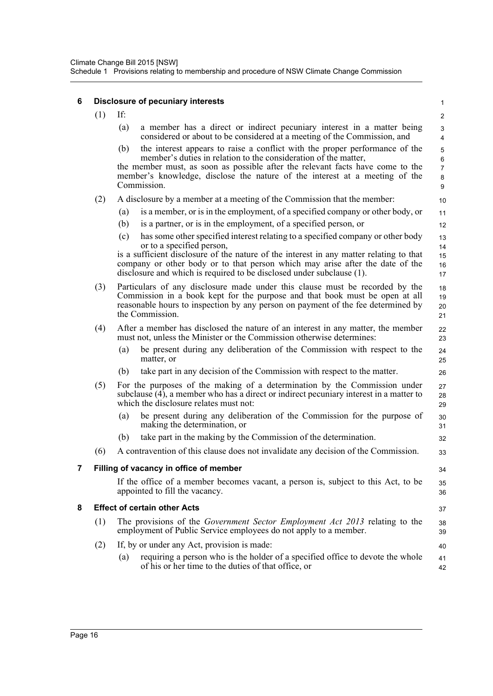#### **6 Disclosure of pecuniary interests** (1) If: (a) a member has a direct or indirect pecuniary interest in a matter being considered or about to be considered at a meeting of the Commission, and (b) the interest appears to raise a conflict with the proper performance of the member's duties in relation to the consideration of the matter, the member must, as soon as possible after the relevant facts have come to the member's knowledge, disclose the nature of the interest at a meeting of the Commission. (2) A disclosure by a member at a meeting of the Commission that the member: (a) is a member, or is in the employment, of a specified company or other body, or (b) is a partner, or is in the employment, of a specified person, or (c) has some other specified interest relating to a specified company or other body or to a specified person, is a sufficient disclosure of the nature of the interest in any matter relating to that company or other body or to that person which may arise after the date of the disclosure and which is required to be disclosed under subclause (1). (3) Particulars of any disclosure made under this clause must be recorded by the Commission in a book kept for the purpose and that book must be open at all reasonable hours to inspection by any person on payment of the fee determined by the Commission. (4) After a member has disclosed the nature of an interest in any matter, the member must not, unless the Minister or the Commission otherwise determines: (a) be present during any deliberation of the Commission with respect to the matter, or (b) take part in any decision of the Commission with respect to the matter. (5) For the purposes of the making of a determination by the Commission under subclause (4), a member who has a direct or indirect pecuniary interest in a matter to which the disclosure relates must not: (a) be present during any deliberation of the Commission for the purpose of making the determination, or (b) take part in the making by the Commission of the determination. (6) A contravention of this clause does not invalidate any decision of the Commission. **7 Filling of vacancy in office of member** If the office of a member becomes vacant, a person is, subject to this Act, to be appointed to fill the vacancy. **8 Effect of certain other Acts** (1) The provisions of the *Government Sector Employment Act 2013* relating to the employment of Public Service employees do not apply to a member. (2) If, by or under any Act, provision is made: (a) requiring a person who is the holder of a specified office to devote the whole of his or her time to the duties of that office, or 1  $\overline{2}$  3 4 5 6 7 8 9 10 11 12 13 14 15 16 17 18 19 20 21 22 23 24 25 26 27 28 29 30 31 32 33 34 35 36 37 38 39 40 41

42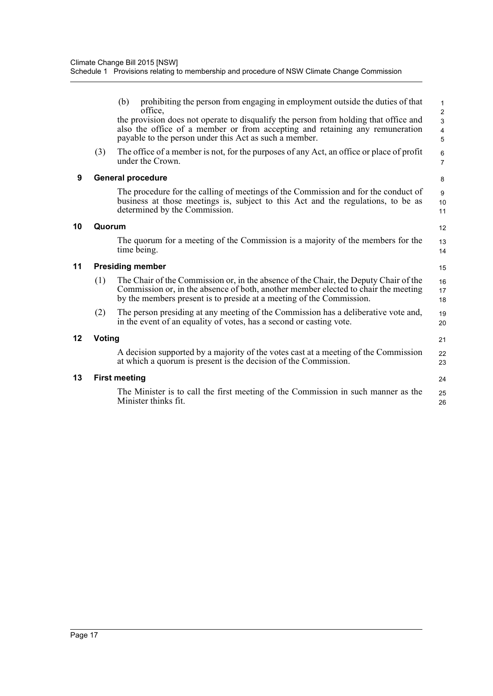|    | (3)                           | prohibiting the person from engaging in employment outside the duties of that<br>(b)<br>office,<br>the provision does not operate to disqualify the person from holding that office and<br>also the office of a member or from accepting and retaining any remuneration<br>payable to the person under this Act as such a member.<br>The office of a member is not, for the purposes of any Act, an office or place of profit | $\mathbf{1}$<br>$\boldsymbol{2}$<br>$\overline{3}$<br>$\overline{\mathbf{4}}$<br>5<br>$\,6\,$ |  |  |
|----|-------------------------------|-------------------------------------------------------------------------------------------------------------------------------------------------------------------------------------------------------------------------------------------------------------------------------------------------------------------------------------------------------------------------------------------------------------------------------|-----------------------------------------------------------------------------------------------|--|--|
|    |                               | under the Crown.                                                                                                                                                                                                                                                                                                                                                                                                              | $\overline{7}$                                                                                |  |  |
| 9  |                               | <b>General procedure</b>                                                                                                                                                                                                                                                                                                                                                                                                      | 8                                                                                             |  |  |
|    |                               | The procedure for the calling of meetings of the Commission and for the conduct of<br>business at those meetings is, subject to this Act and the regulations, to be as<br>determined by the Commission.                                                                                                                                                                                                                       | 9<br>10<br>11                                                                                 |  |  |
| 10 | Quorum<br>12                  |                                                                                                                                                                                                                                                                                                                                                                                                                               |                                                                                               |  |  |
|    |                               | The quorum for a meeting of the Commission is a majority of the members for the<br>time being.                                                                                                                                                                                                                                                                                                                                | 13<br>14                                                                                      |  |  |
| 11 | <b>Presiding member</b><br>15 |                                                                                                                                                                                                                                                                                                                                                                                                                               |                                                                                               |  |  |
|    | (1)                           | The Chair of the Commission or, in the absence of the Chair, the Deputy Chair of the<br>Commission or, in the absence of both, another member elected to chair the meeting<br>by the members present is to preside at a meeting of the Commission.                                                                                                                                                                            | 16<br>17<br>18                                                                                |  |  |
|    | (2)                           | The person presiding at any meeting of the Commission has a deliberative vote and,<br>in the event of an equality of votes, has a second or casting vote.                                                                                                                                                                                                                                                                     | 19<br>20                                                                                      |  |  |
| 12 | Voting                        |                                                                                                                                                                                                                                                                                                                                                                                                                               |                                                                                               |  |  |
|    |                               | A decision supported by a majority of the votes cast at a meeting of the Commission<br>at which a quorum is present is the decision of the Commission.                                                                                                                                                                                                                                                                        | 22<br>23                                                                                      |  |  |
| 13 | <b>First meeting</b>          |                                                                                                                                                                                                                                                                                                                                                                                                                               |                                                                                               |  |  |
|    |                               | The Minister is to call the first meeting of the Commission in such manner as the<br>Minister thinks fit.                                                                                                                                                                                                                                                                                                                     | 25<br>26                                                                                      |  |  |
|    |                               |                                                                                                                                                                                                                                                                                                                                                                                                                               |                                                                                               |  |  |